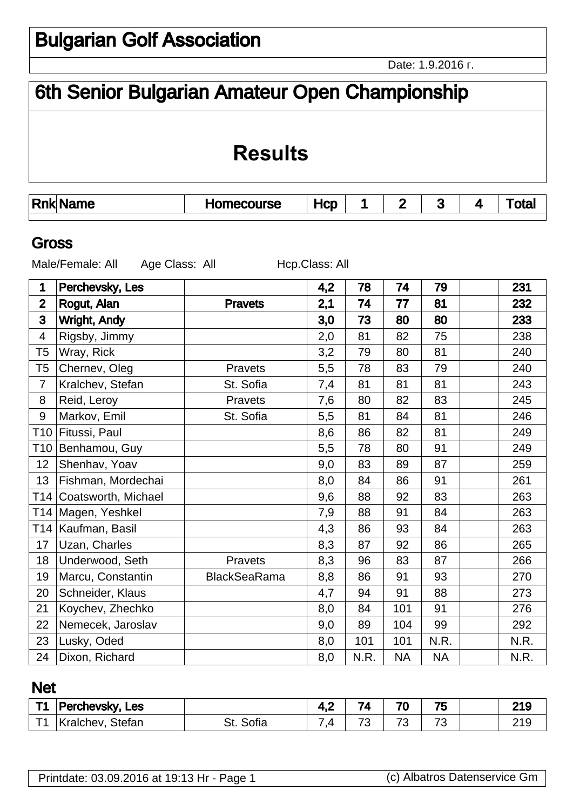Date: 1.9.2016 .

# 6th Senior Bulgarian Amateur Open Championship

## **Results**

|  | <b>Rnk</b> | me | <b>rurse</b> | lcD |  |  | . . |  |  |
|--|------------|----|--------------|-----|--|--|-----|--|--|
|--|------------|----|--------------|-----|--|--|-----|--|--|

#### Gross

Male/Female: All Age Class: All Hcp.Class: All

| 1                | Perchevsky, Les     |                     | 4,2 | 78   | 74        | 79        | 231  |
|------------------|---------------------|---------------------|-----|------|-----------|-----------|------|
| $\overline{2}$   | Rogut, Alan         | <b>Pravets</b>      | 2,1 | 74   | 77        | 81        | 232  |
| 3                | <b>Wright, Andy</b> |                     | 3,0 | 73   | 80        | 80        | 233  |
| $\overline{4}$   | Rigsby, Jimmy       |                     | 2,0 | 81   | 82        | 75        | 238  |
| T <sub>5</sub>   | Wray, Rick          |                     | 3,2 | 79   | 80        | 81        | 240  |
| T <sub>5</sub>   | Chernev, Oleg       | Pravets             | 5,5 | 78   | 83        | 79        | 240  |
| $\overline{7}$   | Kralchev, Stefan    | St. Sofia           | 7,4 | 81   | 81        | 81        | 243  |
| 8                | Reid, Leroy         | Pravets             | 7,6 | 80   | 82        | 83        | 245  |
| $\boldsymbol{9}$ | Markov, Emil        | St. Sofia           | 5,5 | 81   | 84        | 81        | 246  |
| T10              | Fitussi, Paul       |                     | 8,6 | 86   | 82        | 81        | 249  |
| T10              | Benhamou, Guy       |                     | 5,5 | 78   | 80        | 91        | 249  |
| 12               | Shenhav, Yoav       |                     | 9,0 | 83   | 89        | 87        | 259  |
| 13               | Fishman, Mordechai  |                     | 8,0 | 84   | 86        | 91        | 261  |
| T14              | Coatsworth, Michael |                     | 9,6 | 88   | 92        | 83        | 263  |
|                  | T14 Magen, Yeshkel  |                     | 7,9 | 88   | 91        | 84        | 263  |
| T14              | Kaufman, Basil      |                     | 4,3 | 86   | 93        | 84        | 263  |
| 17               | Uzan, Charles       |                     | 8,3 | 87   | 92        | 86        | 265  |
| 18               | Underwood, Seth     | Pravets             | 8,3 | 96   | 83        | 87        | 266  |
| 19               | Marcu, Constantin   | <b>BlackSeaRama</b> | 8,8 | 86   | 91        | 93        | 270  |
| 20               | Schneider, Klaus    |                     | 4,7 | 94   | 91        | 88        | 273  |
| 21               | Koychev, Zhechko    |                     | 8,0 | 84   | 101       | 91        | 276  |
| 22               | Nemecek, Jaroslav   |                     | 9,0 | 89   | 104       | 99        | 292  |
| 23               | Lusky, Oded         |                     | 8,0 | 101  | 101       | N.R.      | N.R. |
| 24               | Dixon, Richard      |                     | 8,0 | N.R. | <b>NA</b> | <b>NA</b> | N.R. |

### Net

| T4 | Les<br><b>⊃erchevsky,</b> |           | T 17    | - -                      | 7 <sup>c</sup><br>'U                                 | --<br>ل• َ                    | 010<br>- 19 |
|----|---------------------------|-----------|---------|--------------------------|------------------------------------------------------|-------------------------------|-------------|
|    | Stefan<br>าev<br>110      | .<br>UIId | -<br>-- | $\overline{\phantom{a}}$ | $\overline{\phantom{a}}$<br>$\overline{\phantom{a}}$ | $\overline{\phantom{a}}$<br>ີ |             |

| (c) Albatros Datenservice Gm |
|------------------------------|
|                              |